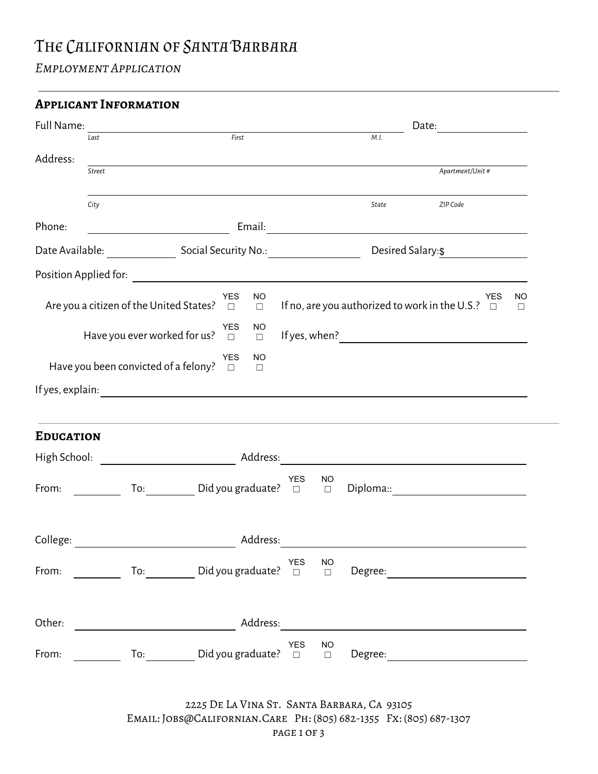## THE CALIFORNIAN OF SANTA BARBARA

*Employment Application*

| Full Name:                | Last          | <u> 1989 - Johann Barn, mars ann an t-Amhain an t-Amhain an t-Amhain an t-Amhain an t-Amhain an t-Amhain an t-Amh</u><br>First |  |                                   |     | Date:<br><u>and a strong strong part of the strong strong part of the strong strong strong strong strong strong strong strong strong strong strong strong strong strong strong strong strong strong strong strong strong strong strong st</u><br>M.I. |                                                                                                                                                                                                                                                                                           |  |                 |               |              |
|---------------------------|---------------|--------------------------------------------------------------------------------------------------------------------------------|--|-----------------------------------|-----|-------------------------------------------------------------------------------------------------------------------------------------------------------------------------------------------------------------------------------------------------------|-------------------------------------------------------------------------------------------------------------------------------------------------------------------------------------------------------------------------------------------------------------------------------------------|--|-----------------|---------------|--------------|
|                           |               |                                                                                                                                |  |                                   |     |                                                                                                                                                                                                                                                       |                                                                                                                                                                                                                                                                                           |  |                 |               |              |
| Address:                  | <b>Street</b> |                                                                                                                                |  |                                   |     |                                                                                                                                                                                                                                                       | <u> 1989 - Johann Stoff, amerikansk politiker (d. 1989)</u>                                                                                                                                                                                                                               |  | Apartment/Unit# |               |              |
|                           | City          |                                                                                                                                |  |                                   |     |                                                                                                                                                                                                                                                       | State                                                                                                                                                                                                                                                                                     |  | ZIP Code        |               |              |
| Phone:                    |               | <u> 1980 - Johann Barn, mars et al.</u>                                                                                        |  |                                   |     |                                                                                                                                                                                                                                                       |                                                                                                                                                                                                                                                                                           |  |                 |               |              |
|                           |               |                                                                                                                                |  | Desired Salary:\$ _______________ |     |                                                                                                                                                                                                                                                       |                                                                                                                                                                                                                                                                                           |  |                 |               |              |
|                           |               |                                                                                                                                |  |                                   |     |                                                                                                                                                                                                                                                       |                                                                                                                                                                                                                                                                                           |  |                 |               |              |
|                           |               | Are you a citizen of the United States? $\Box$                                                                                 |  | <b>YES</b><br><b>NO</b><br>$\Box$ |     |                                                                                                                                                                                                                                                       | If no, are you authorized to work in the U.S.?                                                                                                                                                                                                                                            |  |                 | YES<br>$\Box$ | NO<br>$\Box$ |
|                           |               | Have you ever worked for us? $\Box$                                                                                            |  | <b>YES</b><br>NO.<br>$\Box$       |     |                                                                                                                                                                                                                                                       | If yes, when $\frac{1}{2}$ and $\frac{1}{2}$ and $\frac{1}{2}$ and $\frac{1}{2}$ and $\frac{1}{2}$ and $\frac{1}{2}$ and $\frac{1}{2}$ and $\frac{1}{2}$ and $\frac{1}{2}$ and $\frac{1}{2}$ and $\frac{1}{2}$ and $\frac{1}{2}$ and $\frac{1}{2}$ and $\frac{1}{2}$ and $\frac{1}{2}$ an |  |                 |               |              |
|                           |               |                                                                                                                                |  | <b>NO</b><br><b>YES</b>           |     |                                                                                                                                                                                                                                                       |                                                                                                                                                                                                                                                                                           |  |                 |               |              |
|                           |               | Have you been convicted of a felony? $\Box$                                                                                    |  | $\Box$                            |     |                                                                                                                                                                                                                                                       |                                                                                                                                                                                                                                                                                           |  |                 |               |              |
|                           |               |                                                                                                                                |  |                                   |     |                                                                                                                                                                                                                                                       |                                                                                                                                                                                                                                                                                           |  |                 |               |              |
|                           |               |                                                                                                                                |  |                                   |     |                                                                                                                                                                                                                                                       |                                                                                                                                                                                                                                                                                           |  |                 |               |              |
|                           |               |                                                                                                                                |  |                                   |     |                                                                                                                                                                                                                                                       |                                                                                                                                                                                                                                                                                           |  |                 |               |              |
|                           |               |                                                                                                                                |  |                                   |     |                                                                                                                                                                                                                                                       |                                                                                                                                                                                                                                                                                           |  |                 |               |              |
|                           |               | To: Did you graduate? $\Box$                                                                                                   |  |                                   | YES | NO<br>$\Box$                                                                                                                                                                                                                                          | Diploma:: _________________________                                                                                                                                                                                                                                                       |  |                 |               |              |
|                           |               | College: Address:                                                                                                              |  |                                   |     |                                                                                                                                                                                                                                                       |                                                                                                                                                                                                                                                                                           |  |                 |               |              |
|                           |               |                                                                                                                                |  |                                   |     |                                                                                                                                                                                                                                                       |                                                                                                                                                                                                                                                                                           |  |                 |               |              |
| <b>EDUCATION</b><br>From: |               |                                                                                                                                |  |                                   |     |                                                                                                                                                                                                                                                       |                                                                                                                                                                                                                                                                                           |  |                 |               |              |

2225 De La Vina St. Santa Barbara, Ca 93105 Email: Jobs@Californian.Care Ph: (805) 682-1355 Fx: (805) 687-1307 page 1 of 3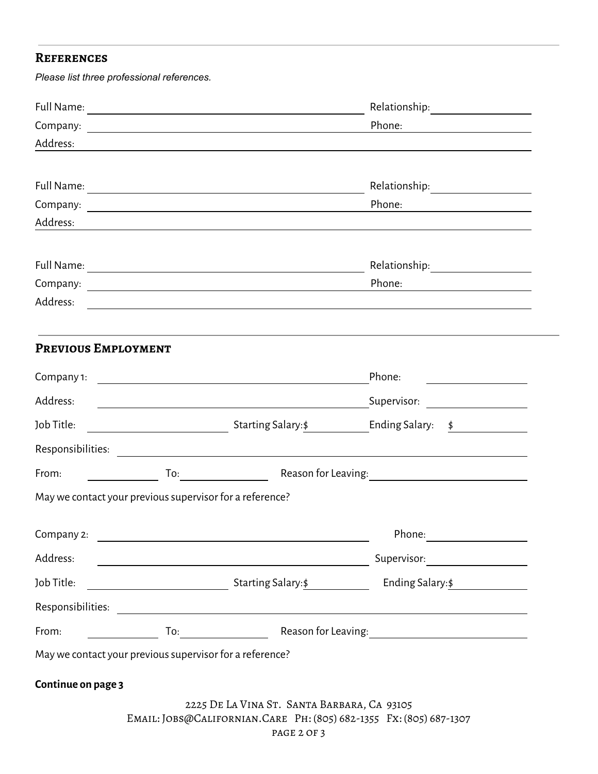## **References**

*Please list three professional references.*

|                                                          |                                                                                                                        | Relationship: ________________                                                                                                                                                                                                 |  |
|----------------------------------------------------------|------------------------------------------------------------------------------------------------------------------------|--------------------------------------------------------------------------------------------------------------------------------------------------------------------------------------------------------------------------------|--|
|                                                          |                                                                                                                        | Phone:<br><u> 1989 - Johann Barbara, martin a</u>                                                                                                                                                                              |  |
| Address:                                                 |                                                                                                                        |                                                                                                                                                                                                                                |  |
|                                                          |                                                                                                                        |                                                                                                                                                                                                                                |  |
|                                                          |                                                                                                                        | Relationship: ___________________                                                                                                                                                                                              |  |
|                                                          |                                                                                                                        | Phone:                                                                                                                                                                                                                         |  |
| Address:                                                 |                                                                                                                        |                                                                                                                                                                                                                                |  |
|                                                          |                                                                                                                        |                                                                                                                                                                                                                                |  |
|                                                          |                                                                                                                        |                                                                                                                                                                                                                                |  |
|                                                          |                                                                                                                        | Phone:<br><u> 1980 - Jan Barbara Barat, prima popular popular popular popular popular popular popular popular popular popula</u>                                                                                               |  |
| Address:                                                 |                                                                                                                        | and the control of the control of the control of the control of the control of the control of the control of the                                                                                                               |  |
|                                                          |                                                                                                                        |                                                                                                                                                                                                                                |  |
| PREVIOUS EMPLOYMENT                                      |                                                                                                                        |                                                                                                                                                                                                                                |  |
|                                                          |                                                                                                                        | Phone:                                                                                                                                                                                                                         |  |
| Address:                                                 | <u> 1989 - Johann Stein, marwolaethau a bhann an t-Amhair an t-Amhair an t-Amhair an t-Amhair an t-Amhair an t-A</u>   | Supervisor: _____________________                                                                                                                                                                                              |  |
| Job Title:                                               |                                                                                                                        |                                                                                                                                                                                                                                |  |
|                                                          |                                                                                                                        |                                                                                                                                                                                                                                |  |
| From:                                                    |                                                                                                                        | Reason for Leaving: 1990 and 2000 and 2000 and 2000 and 2000 and 2000 and 2000 and 2000 and 2000 and 2000 and 2000 and 2000 and 2000 and 2000 and 2000 and 2000 and 2000 and 2000 and 2000 and 2000 and 2000 and 2000 and 2000 |  |
| May we contact your previous supervisor for a reference? |                                                                                                                        |                                                                                                                                                                                                                                |  |
| Company 2:                                               |                                                                                                                        | Phone:                                                                                                                                                                                                                         |  |
|                                                          |                                                                                                                        |                                                                                                                                                                                                                                |  |
| Address:                                                 | <u> 1989 - Johann Stoff, deutscher Stoffen und der Stoffen und der Stoffen und der Stoffen und der Stoffen und der</u> |                                                                                                                                                                                                                                |  |
| Job Title:                                               |                                                                                                                        |                                                                                                                                                                                                                                |  |
|                                                          |                                                                                                                        |                                                                                                                                                                                                                                |  |
| From:                                                    |                                                                                                                        |                                                                                                                                                                                                                                |  |
| May we contact your previous supervisor for a reference? |                                                                                                                        |                                                                                                                                                                                                                                |  |
| Continue on page 3                                       |                                                                                                                        |                                                                                                                                                                                                                                |  |
|                                                          | 2225 DE LA VINA ST. SANTA BARBARA, CA 93105                                                                            |                                                                                                                                                                                                                                |  |
|                                                          |                                                                                                                        | EMAIL: JOBS@CALIFORNIAN.CARE PH: (805) 682-1355 FX: (805) 687-1307                                                                                                                                                             |  |
|                                                          | PAGE 2 OF 3                                                                                                            |                                                                                                                                                                                                                                |  |